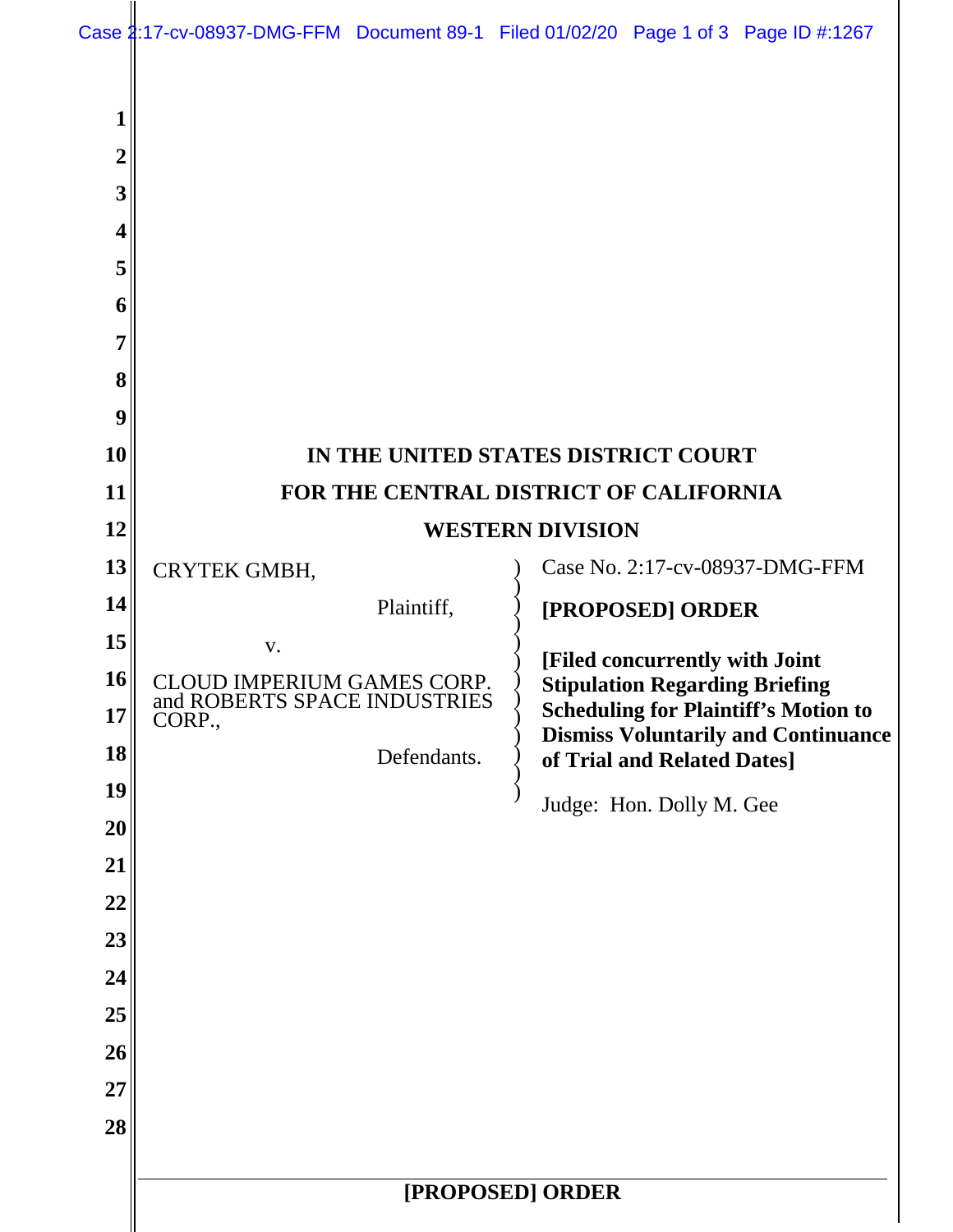| $\overline{2}$ |                                                            |                                                                                      |  |  |  |  |  |
|----------------|------------------------------------------------------------|--------------------------------------------------------------------------------------|--|--|--|--|--|
| 3              |                                                            |                                                                                      |  |  |  |  |  |
| 4              |                                                            |                                                                                      |  |  |  |  |  |
| 5              |                                                            |                                                                                      |  |  |  |  |  |
| 6              |                                                            |                                                                                      |  |  |  |  |  |
| 7              |                                                            |                                                                                      |  |  |  |  |  |
| 8              |                                                            |                                                                                      |  |  |  |  |  |
| 9              |                                                            |                                                                                      |  |  |  |  |  |
| 10             | IN THE UNITED STATES DISTRICT COURT                        |                                                                                      |  |  |  |  |  |
| 11             |                                                            | FOR THE CENTRAL DISTRICT OF CALIFORNIA                                               |  |  |  |  |  |
| 12             |                                                            | <b>WESTERN DIVISION</b>                                                              |  |  |  |  |  |
| 13             | CRYTEK GMBH,                                               | Case No. 2:17-cv-08937-DMG-FFM                                                       |  |  |  |  |  |
| 14             | Plaintiff,                                                 | [PROPOSED] ORDER                                                                     |  |  |  |  |  |
| 15             | V.                                                         | [Filed concurrently with Joint                                                       |  |  |  |  |  |
| 16<br>17       | CLOUD IMPERIUM GAMES CORP.<br>and ROBERTS SPACE INDUSTRIES | <b>Stipulation Regarding Briefing</b><br><b>Scheduling for Plaintiff's Motion to</b> |  |  |  |  |  |
| 18             | CORP.,                                                     | <b>Dismiss Voluntarily and Continuance</b>                                           |  |  |  |  |  |
| 19             | Defendants.                                                | of Trial and Related Dates]                                                          |  |  |  |  |  |
| 20             |                                                            | Judge: Hon. Dolly M. Gee                                                             |  |  |  |  |  |
| 21             |                                                            |                                                                                      |  |  |  |  |  |
| 22             |                                                            |                                                                                      |  |  |  |  |  |
| 23             |                                                            |                                                                                      |  |  |  |  |  |
| 24             |                                                            |                                                                                      |  |  |  |  |  |
| 25             |                                                            |                                                                                      |  |  |  |  |  |
| 26             |                                                            |                                                                                      |  |  |  |  |  |
| 27             |                                                            |                                                                                      |  |  |  |  |  |
| 28             |                                                            |                                                                                      |  |  |  |  |  |
|                |                                                            |                                                                                      |  |  |  |  |  |
|                | [PROPOSED] ORDER                                           |                                                                                      |  |  |  |  |  |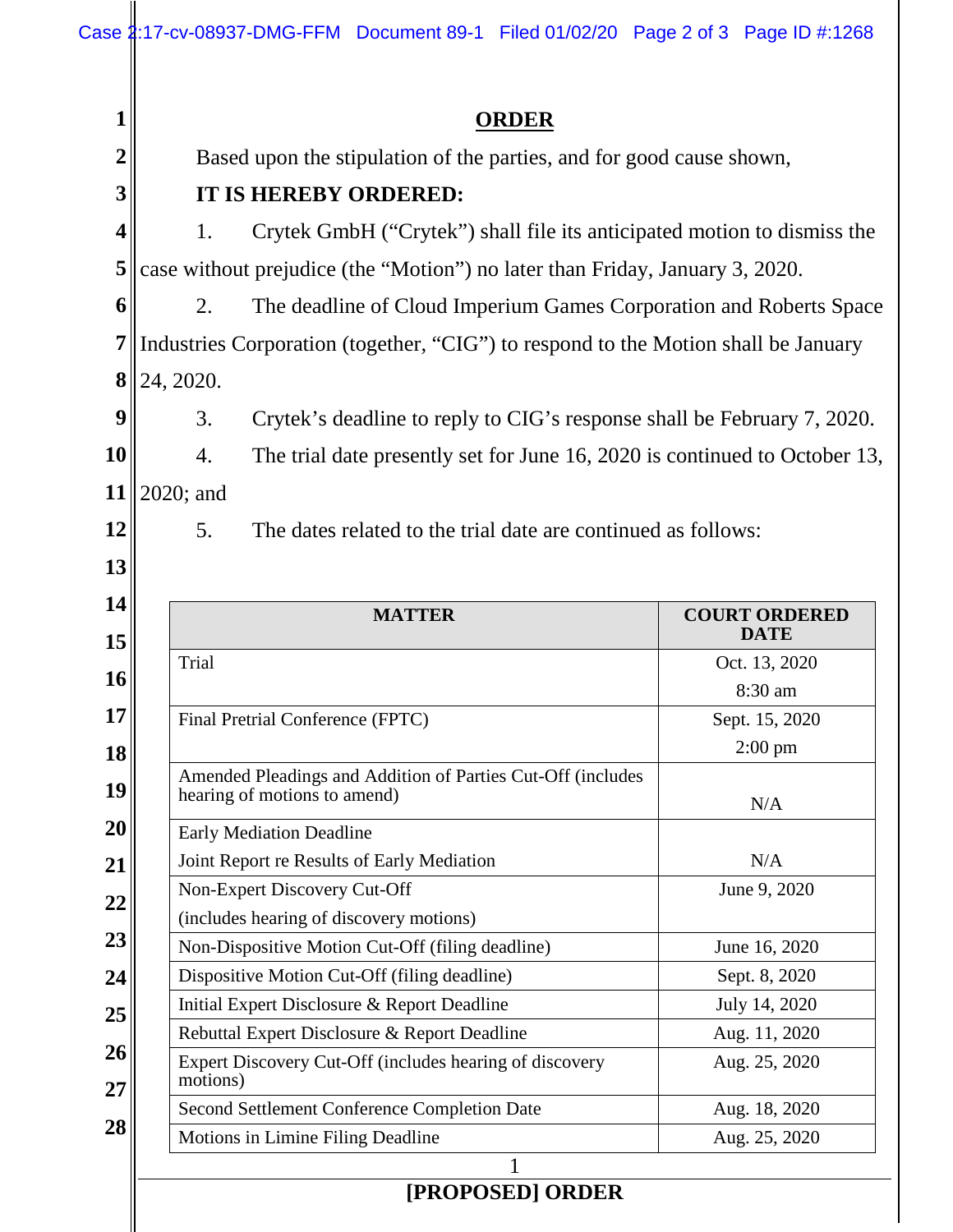|                                                                                         | <b>ORDER</b>                                                                       |                                   |                                                         |                                                             |                                                                         |  |
|-----------------------------------------------------------------------------------------|------------------------------------------------------------------------------------|-----------------------------------|---------------------------------------------------------|-------------------------------------------------------------|-------------------------------------------------------------------------|--|
|                                                                                         | Based upon the stipulation of the parties, and for good cause shown,               |                                   |                                                         |                                                             |                                                                         |  |
|                                                                                         | <b>IT IS HEREBY ORDERED:</b>                                                       |                                   |                                                         |                                                             |                                                                         |  |
|                                                                                         | 1.<br>Crytek GmbH ("Crytek") shall file its anticipated motion to dismiss the      |                                   |                                                         |                                                             |                                                                         |  |
|                                                                                         |                                                                                    |                                   |                                                         |                                                             |                                                                         |  |
| 6                                                                                       | case without prejudice (the "Motion") no later than Friday, January 3, 2020.       |                                   |                                                         |                                                             |                                                                         |  |
|                                                                                         | 2.<br>The deadline of Cloud Imperium Games Corporation and Roberts Space           |                                   |                                                         |                                                             |                                                                         |  |
|                                                                                         | Industries Corporation (together, "CIG") to respond to the Motion shall be January |                                   |                                                         |                                                             |                                                                         |  |
| 8                                                                                       | 24, 2020.                                                                          |                                   |                                                         |                                                             |                                                                         |  |
|                                                                                         | 3.                                                                                 |                                   |                                                         |                                                             | Crytek's deadline to reply to CIG's response shall be February 7, 2020. |  |
| 10                                                                                      | 4.<br>The trial date presently set for June 16, 2020 is continued to October 13,   |                                   |                                                         |                                                             |                                                                         |  |
|                                                                                         | 11   2020; and                                                                     |                                   |                                                         |                                                             |                                                                         |  |
| 12                                                                                      | 5.                                                                                 |                                   |                                                         |                                                             |                                                                         |  |
| 13                                                                                      | The dates related to the trial date are continued as follows:                      |                                   |                                                         |                                                             |                                                                         |  |
|                                                                                         |                                                                                    |                                   |                                                         |                                                             |                                                                         |  |
| 14<br>15                                                                                |                                                                                    |                                   | <b>MATTER</b>                                           |                                                             |                                                                         |  |
|                                                                                         |                                                                                    |                                   |                                                         |                                                             |                                                                         |  |
|                                                                                         | Trial                                                                              |                                   |                                                         |                                                             | <b>DATE</b><br>Oct. 13, 2020                                            |  |
|                                                                                         |                                                                                    |                                   |                                                         |                                                             | 8:30 am                                                                 |  |
|                                                                                         |                                                                                    | Final Pretrial Conference (FPTC)  |                                                         |                                                             | Sept. 15, 2020                                                          |  |
|                                                                                         |                                                                                    |                                   |                                                         |                                                             | $2:00 \text{ pm}$                                                       |  |
|                                                                                         |                                                                                    |                                   |                                                         | Amended Pleadings and Addition of Parties Cut-Off (includes |                                                                         |  |
|                                                                                         |                                                                                    | hearing of motions to amend)      |                                                         |                                                             | N/A                                                                     |  |
|                                                                                         |                                                                                    | <b>Early Mediation Deadline</b>   |                                                         |                                                             |                                                                         |  |
|                                                                                         |                                                                                    | Non-Expert Discovery Cut-Off      | Joint Report re Results of Early Mediation              |                                                             | N/A<br>June 9, 2020                                                     |  |
|                                                                                         |                                                                                    |                                   | (includes hearing of discovery motions)                 |                                                             |                                                                         |  |
|                                                                                         |                                                                                    |                                   | Non-Dispositive Motion Cut-Off (filing deadline)        |                                                             | June 16, 2020                                                           |  |
|                                                                                         |                                                                                    |                                   | Dispositive Motion Cut-Off (filing deadline)            |                                                             | Sept. 8, 2020                                                           |  |
|                                                                                         |                                                                                    |                                   | Initial Expert Disclosure & Report Deadline             |                                                             | July 14, 2020                                                           |  |
|                                                                                         |                                                                                    |                                   | Rebuttal Expert Disclosure & Report Deadline            |                                                             | Aug. 11, 2020                                                           |  |
|                                                                                         | motions)                                                                           |                                   | Expert Discovery Cut-Off (includes hearing of discovery |                                                             | Aug. 25, 2020                                                           |  |
|                                                                                         |                                                                                    |                                   | Second Settlement Conference Completion Date            |                                                             | Aug. 18, 2020                                                           |  |
| 16<br>17 <sup>1</sup><br>18<br>19<br>20<br>21<br>22<br>23<br>24<br>25<br>26<br>27<br>28 |                                                                                    | Motions in Limine Filing Deadline |                                                         |                                                             | <b>COURT ORDERED</b><br>Aug. 25, 2020                                   |  |